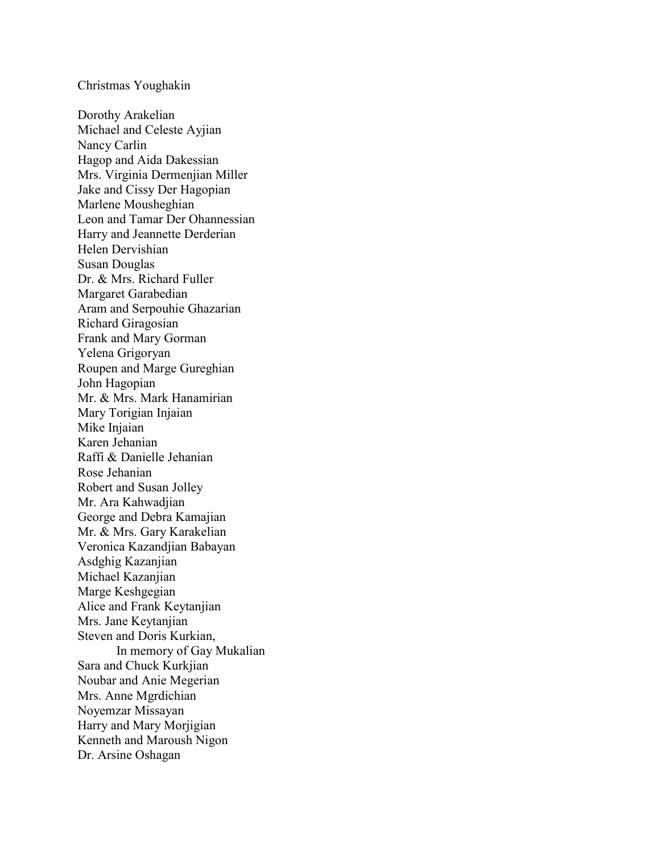## Christmas Youghakin

Dorothy Arakelian Michael and Celeste Ayjian Nancy Carlin Hagop and Aida Dakessian Mrs. Virginia Dermenjian Miller Jake and Cissy Der Hagopian Marlene Mousheghian Leon and Tamar Der Ohannessian Harry and Jeannette Derderian Helen Dervishian Susan Douglas Dr. & Mrs. Richard Fuller Margaret Garabedian Aram and Serpouhie Ghazarian Richard Giragosian Frank and Mary Gorman Yelena Grigoryan Roupen and Marge Gureghian John Hagopian Mr. & Mrs. Mark Hanamirian Mary Torigian Injaian Mike Injaian Karen Jehanian Raffi & Danielle Jehanian Rose Jehanian Robert and Susan Jolley Mr. Ara Kahwadjian George and Debra Kamajian Mr. & Mrs. Gary Karakelian Veronica Kazandjian Babayan Asdghig Kazanjian Michael Kazanjian Marge Keshgegian Alice and Frank Keytanjian Mrs. Jane Keytanjian Steven and Doris Kurkian, In memory of Gay Mukalian Sara and Chuck Kurkjian Noubar and Anie Megerian Mrs. Anne Mgrdichian Noyemzar Missayan Harry and Mary Morjigian Kenneth and Maroush Nigon Dr. Arsine Oshagan